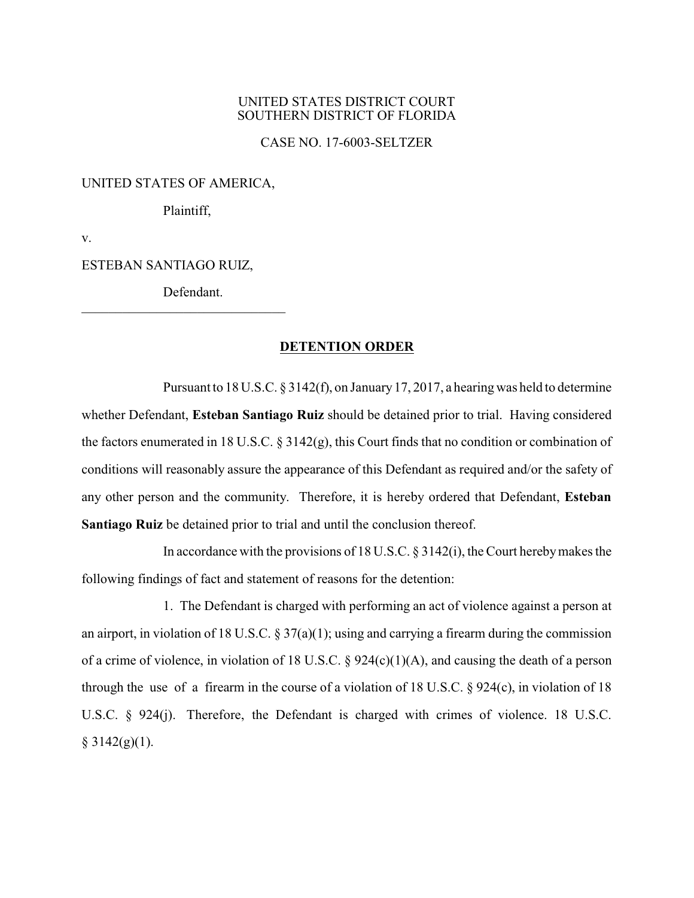## UNITED STATES DISTRICT COURT SOUTHERN DISTRICT OF FLORIDA

CASE NO. 17-6003-SELTZER

## UNITED STATES OF AMERICA,

Plaintiff,

v.

ESTEBAN SANTIAGO RUIZ,

Defendant.

\_\_\_\_\_\_\_\_\_\_\_\_\_\_\_\_\_\_\_\_\_\_\_\_\_\_\_\_\_\_

## **DETENTION ORDER**

Pursuant to 18 U.S.C. § 3142(f), on January17, 2017, a hearing was held to determine whether Defendant, **Esteban Santiago Ruiz** should be detained prior to trial. Having considered the factors enumerated in 18 U.S.C. § 3142(g), this Court finds that no condition or combination of conditions will reasonably assure the appearance of this Defendant as required and/or the safety of any other person and the community. Therefore, it is hereby ordered that Defendant, **Esteban Santiago Ruiz** be detained prior to trial and until the conclusion thereof.

In accordance with the provisions of 18 U.S.C. § 3142(i), the Court herebymakes the following findings of fact and statement of reasons for the detention:

1. The Defendant is charged with performing an act of violence against a person at an airport, in violation of 18 U.S.C. § 37(a)(1); using and carrying a firearm during the commission of a crime of violence, in violation of 18 U.S.C.  $\S$  924(c)(1)(A), and causing the death of a person through the use of a firearm in the course of a violation of 18 U.S.C. § 924(c), in violation of 18 U.S.C. § 924(j). Therefore, the Defendant is charged with crimes of violence. 18 U.S.C.  $§ 3142(g)(1).$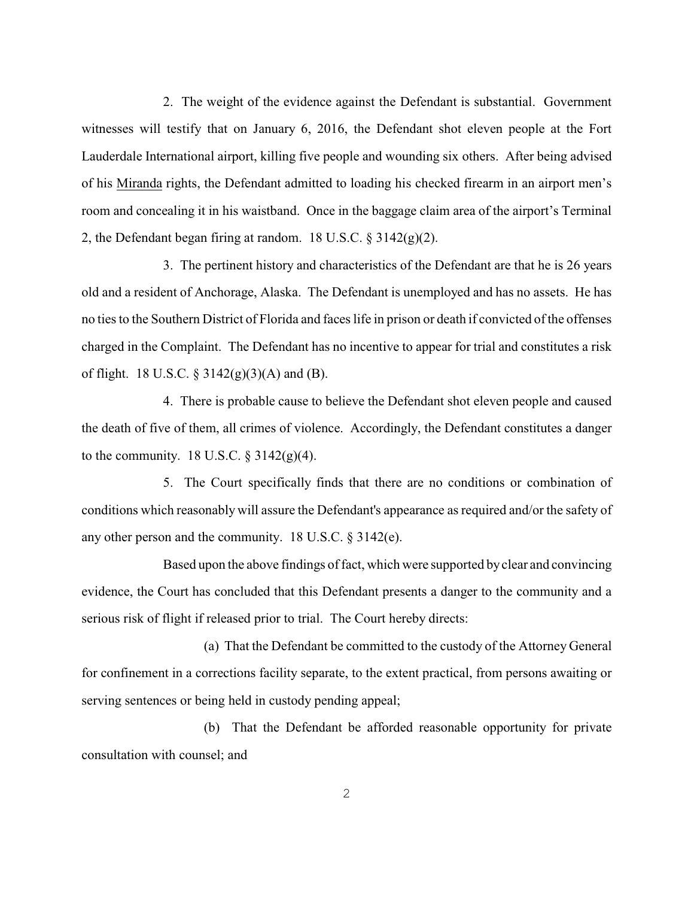2. The weight of the evidence against the Defendant is substantial. Government witnesses will testify that on January 6, 2016, the Defendant shot eleven people at the Fort Lauderdale International airport, killing five people and wounding six others. After being advised of his Miranda rights, the Defendant admitted to loading his checked firearm in an airport men's room and concealing it in his waistband. Once in the baggage claim area of the airport's Terminal 2, the Defendant began firing at random. 18 U.S.C.  $\S$  3142(g)(2).

3. The pertinent history and characteristics of the Defendant are that he is 26 years old and a resident of Anchorage, Alaska. The Defendant is unemployed and has no assets. He has no ties to the Southern District of Florida and faces life in prison or death if convicted of the offenses charged in the Complaint. The Defendant has no incentive to appear for trial and constitutes a risk of flight. 18 U.S.C.  $\S 3142(g)(3)(A)$  and (B).

4. There is probable cause to believe the Defendant shot eleven people and caused the death of five of them, all crimes of violence. Accordingly, the Defendant constitutes a danger to the community. 18 U.S.C.  $\S 3142(g)(4)$ .

5. The Court specifically finds that there are no conditions or combination of conditions which reasonably will assure the Defendant's appearance as required and/or the safety of any other person and the community. 18 U.S.C. § 3142(e).

Based upon the above findings of fact, which were supported byclear and convincing evidence, the Court has concluded that this Defendant presents a danger to the community and a serious risk of flight if released prior to trial. The Court hereby directs:

(a) That the Defendant be committed to the custody of the Attorney General for confinement in a corrections facility separate, to the extent practical, from persons awaiting or serving sentences or being held in custody pending appeal;

(b) That the Defendant be afforded reasonable opportunity for private consultation with counsel; and

2